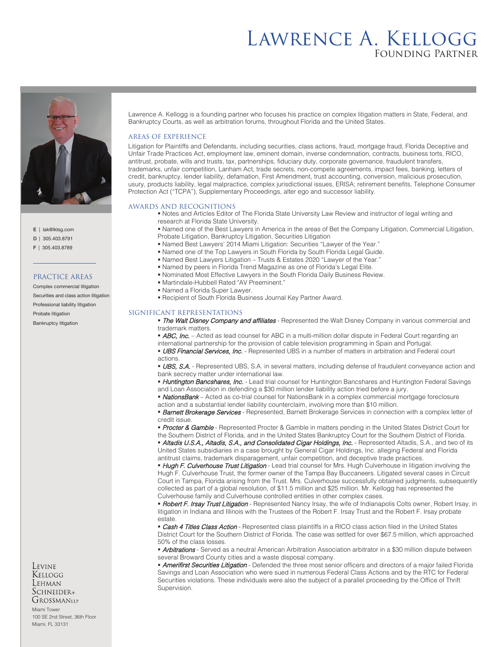# Lawrence A. Kellogg Founding Partner



E | lak@lklsg.com

D | 305.403.8791

F | 305.403.8789

### PRACTICE AREAS

Complex commercial litigation Securities and class action litigation Professional liability litigation Probate litigation Bankruptcy litigation

Levine Kellogg Lehman  $S$ CHNEIDER+ GROSSMANLLP

Miami Tower 100 SE 2nd Street, 36th Floor Miami, FL 33131

Lawrence A. Kellogg is a founding partner who focuses his practice on complex litigation matters in State, Federal, and Bankruptcy Courts, as well as arbitration forums, throughout Florida and the United States.

## AREAS OF EXPERIENCE

Litigation for Plaintiffs and Defendants, including securities, class actions, fraud, mortgage fraud, Florida Deceptive and Unfair Trade Practices Act, employment law, eminent domain, inverse condemnation, contracts, business torts, RICO, antitrust, probate, wills and trusts, tax, partnerships, fiduciary duty, corporate governance, fraudulent transfers, trademarks, unfair competition, Lanham Act, trade secrets, non-compete agreements, impact fees, banking, letters of credit, bankruptcy, lender liability, defamation, First Amendment, trust accounting, conversion, malicious prosecution, usury, products liability, legal malpractice, complex jurisdictional issues, ERISA; retirement benefits, Telephone Consumer Protection Act ("TCPA"), Supplementary Proceedings, alter ego and successor liability.

#### AWARDS AND RECOGNITIONS

 Notes and Articles Editor of The Florida State University Law Review and instructor of legal writing and research at Florida State University.

 Named one of the Best Lawyers in America in the areas of Bet the Company Litigation, Commercial Litigation, Probate Litigation, Bankruptcy Litigation, Securities Litigation

- Named Best Lawyers' 2014 Miami Litigation: Securities "Lawyer of the Year."
- Named one of the Top Lawyers in South Florida by South Florida Legal Guide.
- Named Best Lawyers Litigation Trusts & Estates 2020 "Lawyer of the Year."
- Named by peers in Florida Trend Magazine as one of Florida's Legal Elite.
- Nominated Most Effective Lawyers in the South Florida Daily Business Review.
- Martindale-Hubbell Rated "AV Preeminent."
- Named a Florida Super Lawyer.
- Recipient of South Florida Business Journal Key Partner Award.

#### SIGNIFICANT REPRESENTATIONS

**The Walt Disney Company and affiliates** - Represented the Walt Disney Company in various commercial and trademark matters.

• ABC, Inc. - Acted as lead counsel for ABC in a multi-million dollar dispute in Federal Court regarding an international partnership for the provision of cable television programming in Spain and Portugal.

**UBS Financial Services, Inc.** - Represented UBS in a number of matters in arbitration and Federal court actions.

**UBS, S.A.** - Represented UBS, S.A. in several matters, including defense of fraudulent conveyance action and bank secrecy matter under international law.

• Huntington Bancshares, Inc. - Lead trial counsel for Huntington Bancshares and Huntington Federal Savings and Loan Association in defending a \$30 million lender liability action tried before a jury.

- **NationsBank** Acted as co-trial counsel for NationsBank in a complex commercial mortgage foreclosure
- action and a substantial lender liability counterclaim, involving more than \$10 million.

**Barnett Brokerage Services** - Represented, Barnett Brokerage Services in connection with a complex letter of credit issue.

**Procter & Gamble** - Represented Procter & Gamble in matters pending in the United States District Court for the Southern District of Florida, and in the United States Bankruptcy Court for the Southern District of Florida.

• Altadis U.S.A., Altadis, S.A., and Consolidated Cigar Holdings, Inc. - Represented Altadis, S.A., and two of its United States subsidiaries in a case brought by General Cigar Holdings, Inc. alleging Federal and Florida antitrust claims, trademark disparagement, unfair competition, and deceptive trade practices.

• Hugh F. Culverhouse Trust Litigation - Lead trial counsel for Mrs. Hugh Culverhouse in litigation involving the Hugh F. Culverhouse Trust, the former owner of the Tampa Bay Buccaneers. Litigated several cases in Circuit Court in Tampa, Florida arising from the Trust. Mrs. Culverhouse successfully obtained judgments, subsequently collected as part of a global resolution, of \$11.5 million and \$25 million. Mr. Kellogg has represented the Culverhouse family and Culverhouse controlled entities in other complex cases.

**Robert F. Irsay Trust Litigation** - Represented Nancy Irsay, the wife of Indianapolis Colts owner, Robert Irsay, in litigation in Indiana and Illinois with the Trustees of the Robert F. Irsay Trust and the Robert F. Irsay probate estate.

**Cash 4 Titles Class Action** - Represented class plaintiffs in a RICO class action filed in the United States District Court for the Southern District of Florida. The case was settled for over \$67.5 million, which approached 50% of the class losses.

• Arbitrations - Served as a neutral American Arbitration Association arbitrator in a \$30 million dispute between several Broward County cities and a waste disposal company.

**Amerifirst Securities Litigation** - Defended the three most senior officers and directors of a major failed Florida Savings and Loan Association who were sued in numerous Federal Class Actions and by the RTC for Federal Securities violations. These individuals were also the subject of a parallel proceeding by the Office of Thrift Supervision.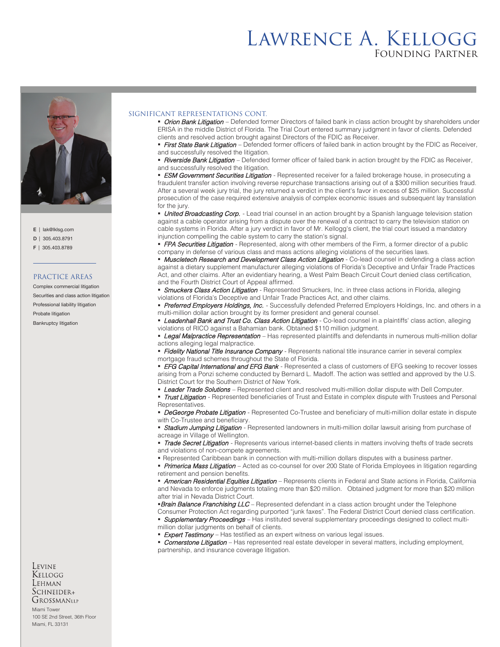# Lawrence A. Kellogg Founding Partner



- E | lak@lklsg.com
- D | 305.403.8791
- F | 305.403.8789

#### PRACTICE AREAS

Complex commercial litigation Securities and class action litigation Professional liability litigation Probate litigation Bankruptcy litigation

### Levine Kellogg Lehman  $S$ CHNEIDER+ GROSSMANLLP

Miami Tower 100 SE 2nd Street, 36th Floor Miami, FL 33131

### SIGNIFICANT REPRESENTATIONS CONT.

**Drion Bank Litigation** – Defended former Directors of failed bank in class action brought by shareholders under ERISA in the middle District of Florida. The Trial Court entered summary judgment in favor of clients. Defended clients and resolved action brought against Directors of the FDIC as Receiver.

First State Bank Litigation – Defended former officers of failed bank in action brought by the FDIC as Receiver, and successfully resolved the litigation.

**Riverside Bank Litigation** – Defended former officer of failed bank in action brought by the FDIC as Receiver, and successfully resolved the litigation.

**ESM Government Securities Litigation** - Represented receiver for a failed brokerage house, in prosecuting a fraudulent transfer action involving reverse repurchase transactions arising out of a \$300 million securities fraud. After a several week jury trial, the jury returned a verdict in the client's favor in excess of \$25 million. Successful prosecution of the case required extensive analysis of complex economic issues and subsequent lay translation for the jury

• United Broadcasting Corp. - Lead trial counsel in an action brought by a Spanish language television station against a cable operator arising from a dispute over the renewal of a contract to carry the television station on cable systems in Florida. After a jury verdict in favor of Mr. Kellogg's client, the trial court issued a mandatory injunction compelling the cable system to carry the station's signal.

**FPA Securities Litigation** - Represented, along with other members of the Firm, a former director of a public company in defense of various class and mass actions alleging violations of the securities laws.

**Muscletech Research and Development Class Action Litigation** - Co-lead counsel in defending a class action against a dietary supplement manufacturer alleging violations of Florida's Deceptive and Unfair Trade Practices Act, and other claims. After an evidentiary hearing, a West Palm Beach Circuit Court denied class certification, and the Fourth District Court of Appeal affirmed.

**Smuckers Class Action Litigation** - Represented Smuckers, Inc. in three class actions in Florida, alleging violations of Florida's Deceptive and Unfair Trade Practices Act, and other claims.

Preferred Employers Holdings, Inc. - Successfully defended Preferred Employers Holdings, Inc. and others in a multi-million dollar action brought by its former president and general counsel.

Leadenhall Bank and Trust Co. Class Action Litigation - Co-lead counsel in a plaintiffs' class action, alleging violations of RICO against a Bahamian bank. Obtained \$110 million judgment.

**Egal Malpractice Representation** – Has represented plaintiffs and defendants in numerous multi-million dollar actions alleging legal malpractice.

Fidelity National Title Insurance Company - Represents national title insurance carrier in several complex mortgage fraud schemes throughout the State of Florida.

**EFG Capital International and EFG Bank** - Represented a class of customers of EFG seeking to recover losses arising from a Ponzi scheme conducted by Bernard L. Madoff. The action was settled and approved by the U.S. District Court for the Southern District of New York.

**Leader Trade Solutions** – Represented client and resolved multi-million dollar dispute with Dell Computer.

**Trust Litigation** - Represented beneficiaries of Trust and Estate in complex dispute with Trustees and Personal Representatives.

**DeGeorge Probate Litigation** - Represented Co-Trustee and beneficiary of multi-million dollar estate in dispute with Co-Trustee and beneficiary.

**Stadium Jumping Litigation** - Represented landowners in multi-million dollar lawsuit arising from purchase of acreage in Village of Wellington.

Trade Secret Litigation - Represents various internet-based clients in matters involving thefts of trade secrets and violations of non-compete agreements.

Represented Caribbean bank in connection with multi-million dollars disputes with a business partner.

**Primerica Mass Litigation** – Acted as co-counsel for over 200 State of Florida Employees in litigation regarding retirement and pension benefits.

**American Residential Equities Litigation** – Represents clients in Federal and State actions in Florida, California and Nevada to enforce judgments totaling more than \$20 million. Obtained judgment for more than \$20 million after trial in Nevada District Court.

Brain Balance Franchising LLC – Represented defendant in a class action brought under the Telephone

Consumer Protection Act regarding purported "junk faxes". The Federal District Court denied class certification. **Supplementary Proceedings** – Has instituted several supplementary proceedings designed to collect multi-

- million dollar judgments on behalf of clients.
- **Expert Testimony** Has testified as an expert witness on various legal issues.

Cornerstone Litigation - Has represented real estate developer in several matters, including employment, partnership, and insurance coverage litigation.